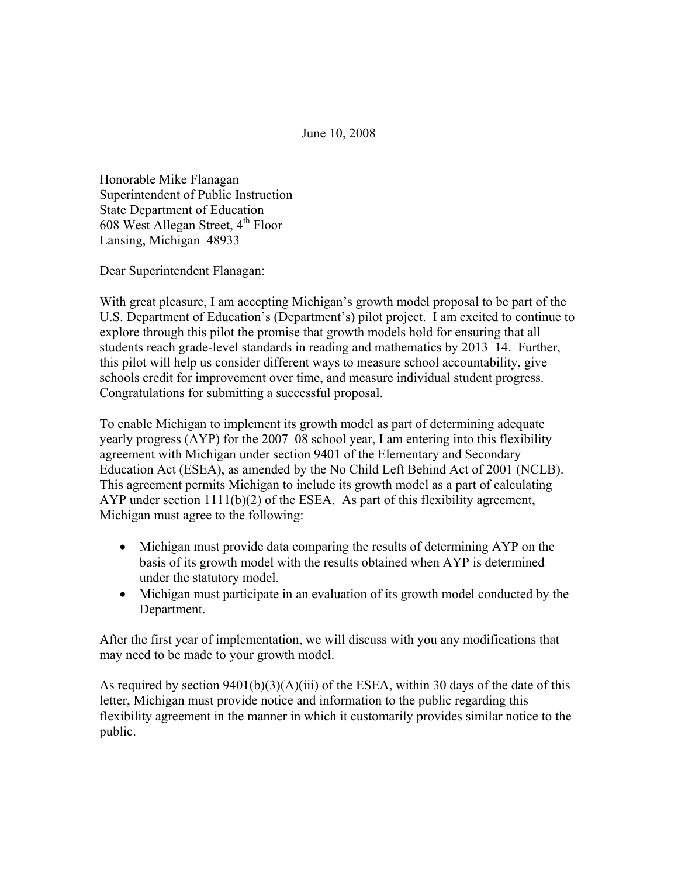June 10, 2008

Honorable Mike Flanagan Superintendent of Public Instruction State Department of Education 608 West Allegan Street,  $4<sup>th</sup>$  Floor Lansing, Michigan 48933

Dear Superintendent Flanagan:

With great pleasure, I am accepting Michigan's growth model proposal to be part of the U.S. Department of Education's (Department's) pilot project. I am excited to continue to explore through this pilot the promise that growth models hold for ensuring that all students reach grade-level standards in reading and mathematics by 2013–14. Further, this pilot will help us consider different ways to measure school accountability, give schools credit for improvement over time, and measure individual student progress. Congratulations for submitting a successful proposal.

To enable Michigan to implement its growth model as part of determining adequate yearly progress (AYP) for the 2007–08 school year, I am entering into this flexibility agreement with Michigan under section 9401 of the Elementary and Secondary Education Act (ESEA), as amended by the No Child Left Behind Act of 2001 (NCLB). This agreement permits Michigan to include its growth model as a part of calculating AYP under section  $1111(b)(2)$  of the ESEA. As part of this flexibility agreement, Michigan must agree to the following:

- Michigan must provide data comparing the results of determining AYP on the basis of its growth model with the results obtained when AYP is determined under the statutory model.
- Michigan must participate in an evaluation of its growth model conducted by the Department.

After the first year of implementation, we will discuss with you any modifications that may need to be made to your growth model.

As required by section  $9401(b)(3)(A)(iii)$  of the ESEA, within 30 days of the date of this letter, Michigan must provide notice and information to the public regarding this flexibility agreement in the manner in which it customarily provides similar notice to the public.